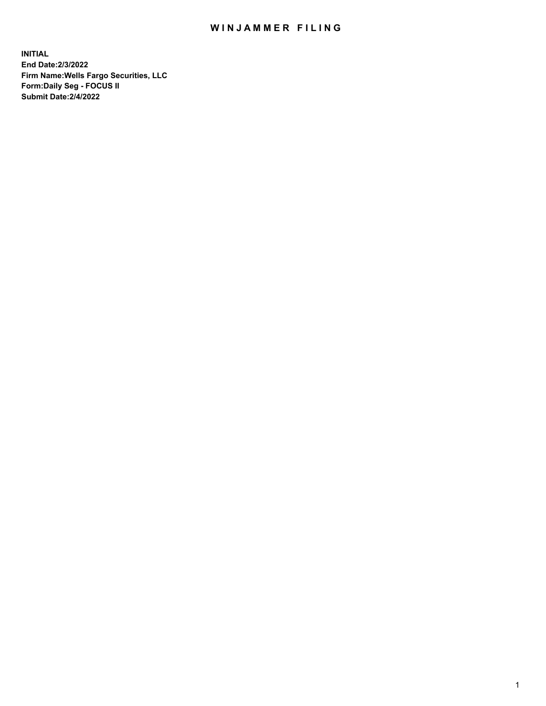## WIN JAMMER FILING

**INITIAL End Date:2/3/2022 Firm Name:Wells Fargo Securities, LLC Form:Daily Seg - FOCUS II Submit Date:2/4/2022**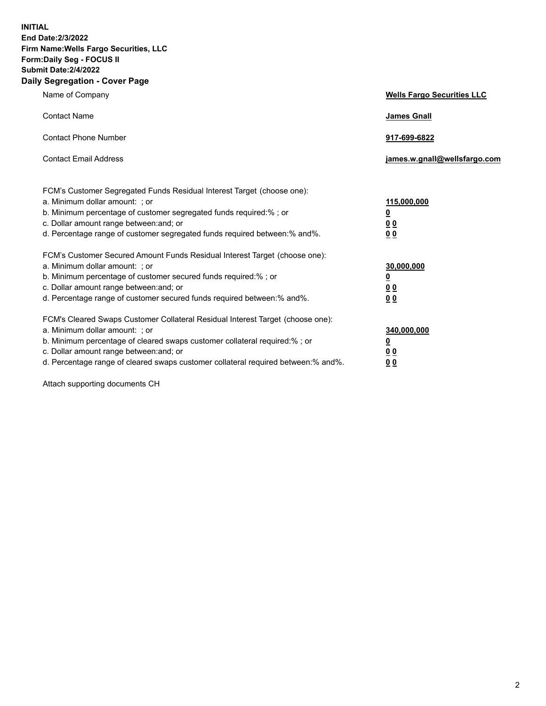**INITIAL End Date:2/3/2022 Firm Name:Wells Fargo Securities, LLC Form:Daily Seg - FOCUS II Submit Date:2/4/2022 Daily Segregation - Cover Page**

| Name of Company                                                                                                                                                                                                                                                                                                                | <b>Wells Fargo Securities LLC</b>              |
|--------------------------------------------------------------------------------------------------------------------------------------------------------------------------------------------------------------------------------------------------------------------------------------------------------------------------------|------------------------------------------------|
| <b>Contact Name</b>                                                                                                                                                                                                                                                                                                            | <b>James Gnall</b>                             |
| <b>Contact Phone Number</b>                                                                                                                                                                                                                                                                                                    | 917-699-6822                                   |
| <b>Contact Email Address</b>                                                                                                                                                                                                                                                                                                   | james.w.gnall@wellsfargo.com                   |
| FCM's Customer Segregated Funds Residual Interest Target (choose one):<br>a. Minimum dollar amount: ; or<br>b. Minimum percentage of customer segregated funds required:% ; or<br>c. Dollar amount range between: and; or                                                                                                      | 115,000,000<br><u>0</u><br>00                  |
| d. Percentage range of customer segregated funds required between:% and%.                                                                                                                                                                                                                                                      | 00                                             |
| FCM's Customer Secured Amount Funds Residual Interest Target (choose one):<br>a. Minimum dollar amount: ; or<br>b. Minimum percentage of customer secured funds required:%; or<br>c. Dollar amount range between: and; or<br>d. Percentage range of customer secured funds required between: % and %.                          | 30,000,000<br><u>0</u><br>00<br>0 <sub>0</sub> |
| FCM's Cleared Swaps Customer Collateral Residual Interest Target (choose one):<br>a. Minimum dollar amount: ; or<br>b. Minimum percentage of cleared swaps customer collateral required:% ; or<br>c. Dollar amount range between: and; or<br>d. Percentage range of cleared swaps customer collateral required between:% and%. | 340,000,000<br><u>0</u><br><u>00</u><br>00     |

Attach supporting documents CH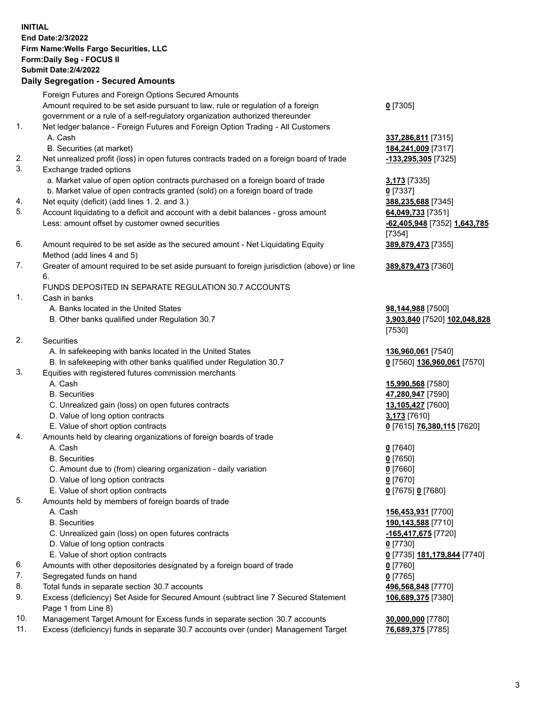**INITIAL End Date:2/3/2022 Firm Name:Wells Fargo Securities, LLC Form:Daily Seg - FOCUS II Submit Date:2/4/2022 Daily Segregation - Secured Amounts** Foreign Futures and Foreign Options Secured Amounts Amount required to be set aside pursuant to law, rule or regulation of a foreign government or a rule of a self-regulatory organization authorized thereunder **0** [7305] 1. Net ledger balance - Foreign Futures and Foreign Option Trading - All Customers A. Cash **337,286,811** [7315] B. Securities (at market) **184,241,009** [7317] 2. Net unrealized profit (loss) in open futures contracts traded on a foreign board of trade **-133,295,305** [7325] 3. Exchange traded options a. Market value of open option contracts purchased on a foreign board of trade **3,173** [7335] b. Market value of open contracts granted (sold) on a foreign board of trade **0** [7337] 4. Net equity (deficit) (add lines 1. 2. and 3.) **388,235,688** [7345] 5. Account liquidating to a deficit and account with a debit balances - gross amount **64,049,733** [7351] Less: amount offset by customer owned securities **-62,405,948** [7352] **1,643,785** [7354] 6. Amount required to be set aside as the secured amount - Net Liquidating Equity Method (add lines 4 and 5) **389,879,473** [7355] 7. Greater of amount required to be set aside pursuant to foreign jurisdiction (above) or line 6. **389,879,473** [7360] FUNDS DEPOSITED IN SEPARATE REGULATION 30.7 ACCOUNTS 1. Cash in banks A. Banks located in the United States **98,144,988** [7500] B. Other banks qualified under Regulation 30.7 **3,903,840** [7520] **102,048,828** [7530] 2. Securities A. In safekeeping with banks located in the United States **136,960,061** [7540] B. In safekeeping with other banks qualified under Regulation 30.7 **0** [7560] **136,960,061** [7570] 3. Equities with registered futures commission merchants A. Cash **15,990,568** [7580] B. Securities **47,280,947** [7590] C. Unrealized gain (loss) on open futures contracts **13,105,427** [7600] D. Value of long option contracts **3,173** [7610] E. Value of short option contracts **0** [7615] **76,380,115** [7620] 4. Amounts held by clearing organizations of foreign boards of trade A. Cash **0** [7640] B. Securities **0** [7650] C. Amount due to (from) clearing organization - daily variation **0** [7660] D. Value of long option contracts **0** [7670] E. Value of short option contracts **0** [7675] **0** [7680] 5. Amounts held by members of foreign boards of trade A. Cash **156,453,931** [7700] B. Securities **190,143,588** [7710] C. Unrealized gain (loss) on open futures contracts **-165,417,675** [7720] D. Value of long option contracts **0** [7730] E. Value of short option contracts **0** [7735] **181,179,844** [7740] 6. Amounts with other depositories designated by a foreign board of trade **0** [7760] 7. Segregated funds on hand **0** [7765] 8. Total funds in separate section 30.7 accounts **496,568,848** [7770] 9. Excess (deficiency) Set Aside for Secured Amount (subtract line 7 Secured Statement Page 1 from Line 8) **106,689,375** [7380] 10. Management Target Amount for Excess funds in separate section 30.7 accounts **30,000,000** [7780] 11. Excess (deficiency) funds in separate 30.7 accounts over (under) Management Target **76,689,375** [7785]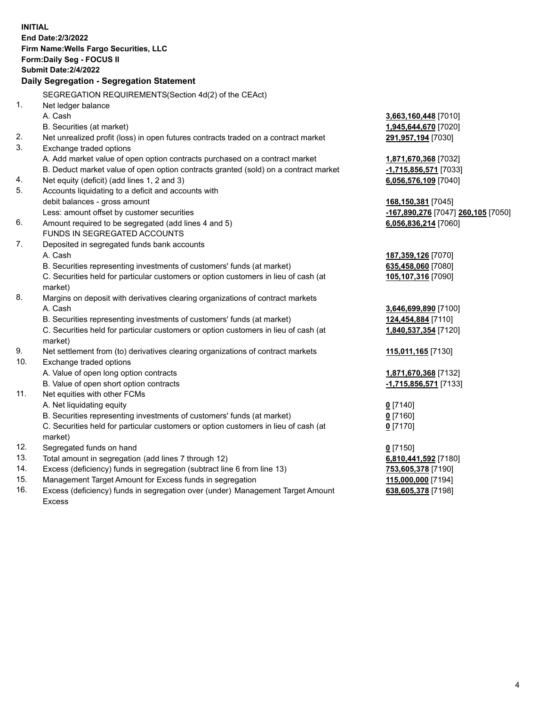|          | <b>INITIAL</b><br>End Date: 2/3/2022<br>Firm Name: Wells Fargo Securities, LLC<br>Form: Daily Seg - FOCUS II<br><b>Submit Date: 2/4/2022</b><br>Daily Segregation - Segregation Statement                                                                             |                                                                                  |
|----------|-----------------------------------------------------------------------------------------------------------------------------------------------------------------------------------------------------------------------------------------------------------------------|----------------------------------------------------------------------------------|
|          | SEGREGATION REQUIREMENTS(Section 4d(2) of the CEAct)                                                                                                                                                                                                                  |                                                                                  |
| 1.       | Net ledger balance<br>A. Cash<br>B. Securities (at market)                                                                                                                                                                                                            | 3,663,160,448 [7010]<br>1,945,644,670 [7020]                                     |
| 2.       | Net unrealized profit (loss) in open futures contracts traded on a contract market                                                                                                                                                                                    | 291,957,194 [7030]                                                               |
| 3.       | Exchange traded options<br>A. Add market value of open option contracts purchased on a contract market<br>B. Deduct market value of open option contracts granted (sold) on a contract market                                                                         | 1,871,670,368 [7032]<br>-1,715,856,571 [7033]                                    |
| 4.       | Net equity (deficit) (add lines 1, 2 and 3)                                                                                                                                                                                                                           | 6,056,576,109 [7040]                                                             |
| 5.<br>6. | Accounts liquidating to a deficit and accounts with<br>debit balances - gross amount<br>Less: amount offset by customer securities<br>Amount required to be segregated (add lines 4 and 5)                                                                            | 168,150,381 [7045]<br>-167,890,276 [7047] 260,105 [7050]<br>6,056,836,214 [7060] |
|          | FUNDS IN SEGREGATED ACCOUNTS                                                                                                                                                                                                                                          |                                                                                  |
| 7.       | Deposited in segregated funds bank accounts<br>A. Cash<br>B. Securities representing investments of customers' funds (at market)<br>C. Securities held for particular customers or option customers in lieu of cash (at<br>market)                                    | 187,359,126 [7070]<br>635,458,060 [7080]<br>105,107,316 [7090]                   |
| 8.       | Margins on deposit with derivatives clearing organizations of contract markets<br>A. Cash<br>B. Securities representing investments of customers' funds (at market)<br>C. Securities held for particular customers or option customers in lieu of cash (at<br>market) | 3,646,699,890 [7100]<br>124,454,884 [7110]<br>1,840,537,354 [7120]               |
| 9.       | Net settlement from (to) derivatives clearing organizations of contract markets                                                                                                                                                                                       | 115,011,165 [7130]                                                               |
| 10.      | Exchange traded options<br>A. Value of open long option contracts<br>B. Value of open short option contracts                                                                                                                                                          | 1,871,670,368 [7132]<br>-1,715,856,571 [7133]                                    |
| 11.      | Net equities with other FCMs<br>A. Net liquidating equity<br>B. Securities representing investments of customers' funds (at market)<br>C. Securities held for particular customers or option customers in lieu of cash (at<br>market)                                 | $0$ [7140]<br>$0$ [7160]<br>$0$ [7170]                                           |
| 12.      | Segregated funds on hand                                                                                                                                                                                                                                              | $0$ [7150]                                                                       |
| 13.      | Total amount in segregation (add lines 7 through 12)                                                                                                                                                                                                                  | 6,810,441,592 [7180]                                                             |
| 14.      | Excess (deficiency) funds in segregation (subtract line 6 from line 13)                                                                                                                                                                                               | 753,605,378 [7190]                                                               |
| 15.      | Management Target Amount for Excess funds in segregation                                                                                                                                                                                                              | 115,000,000 [7194]                                                               |
| 16.      | Excess (deficiency) funds in segregation over (under) Management Target Amount<br><b>Excess</b>                                                                                                                                                                       | 638,605,378 [7198]                                                               |